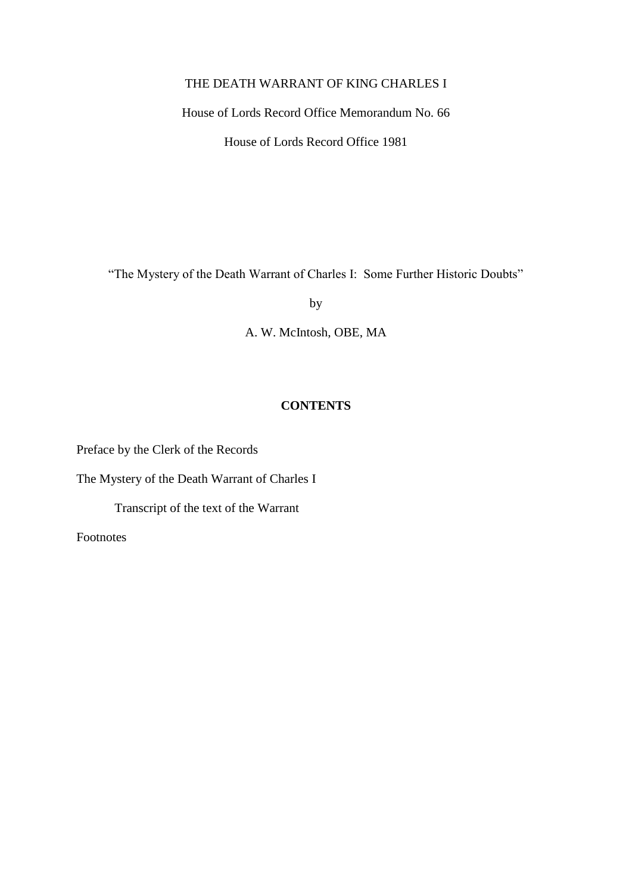## THE DEATH WARRANT OF KING CHARLES I

House of Lords Record Office Memorandum No. 66

House of Lords Record Office 1981

"The Mystery of the Death Warrant of Charles I: Some Further Historic Doubts"

by

A. W. McIntosh, OBE, MA

## **CONTENTS**

Preface by the Clerk of the Records

The Mystery of the Death Warrant of Charles I

Transcript of the text of the Warrant

Footnotes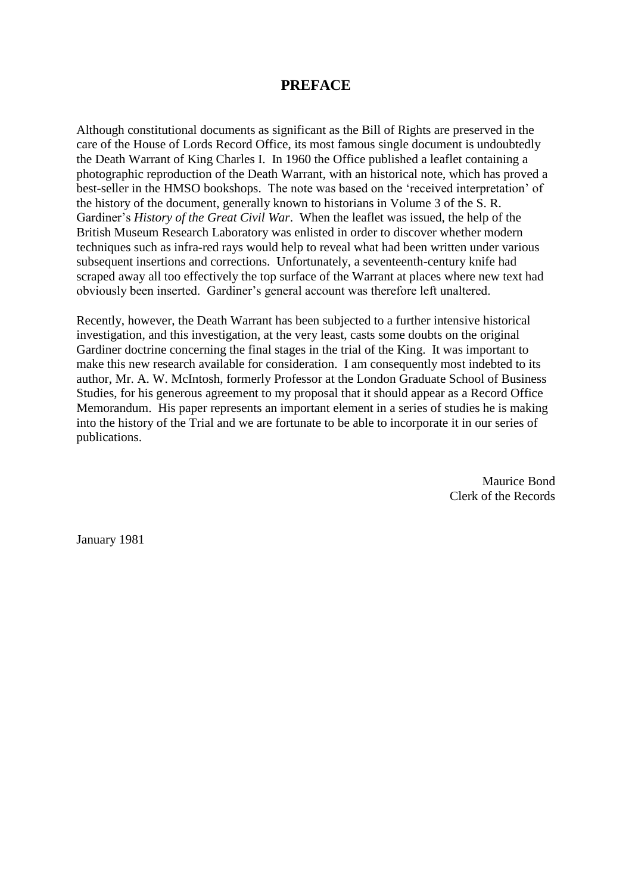## **PREFACE**

Although constitutional documents as significant as the Bill of Rights are preserved in the care of the House of Lords Record Office, its most famous single document is undoubtedly the Death Warrant of King Charles I. In 1960 the Office published a leaflet containing a photographic reproduction of the Death Warrant, with an historical note, which has proved a best-seller in the HMSO bookshops. The note was based on the 'received interpretation' of the history of the document, generally known to historians in Volume 3 of the S. R. Gardiner's *History of the Great Civil War*. When the leaflet was issued, the help of the British Museum Research Laboratory was enlisted in order to discover whether modern techniques such as infra-red rays would help to reveal what had been written under various subsequent insertions and corrections. Unfortunately, a seventeenth-century knife had scraped away all too effectively the top surface of the Warrant at places where new text had obviously been inserted. Gardiner's general account was therefore left unaltered.

Recently, however, the Death Warrant has been subjected to a further intensive historical investigation, and this investigation, at the very least, casts some doubts on the original Gardiner doctrine concerning the final stages in the trial of the King. It was important to make this new research available for consideration. I am consequently most indebted to its author, Mr. A. W. McIntosh, formerly Professor at the London Graduate School of Business Studies, for his generous agreement to my proposal that it should appear as a Record Office Memorandum. His paper represents an important element in a series of studies he is making into the history of the Trial and we are fortunate to be able to incorporate it in our series of publications.

> Maurice Bond Clerk of the Records

January 1981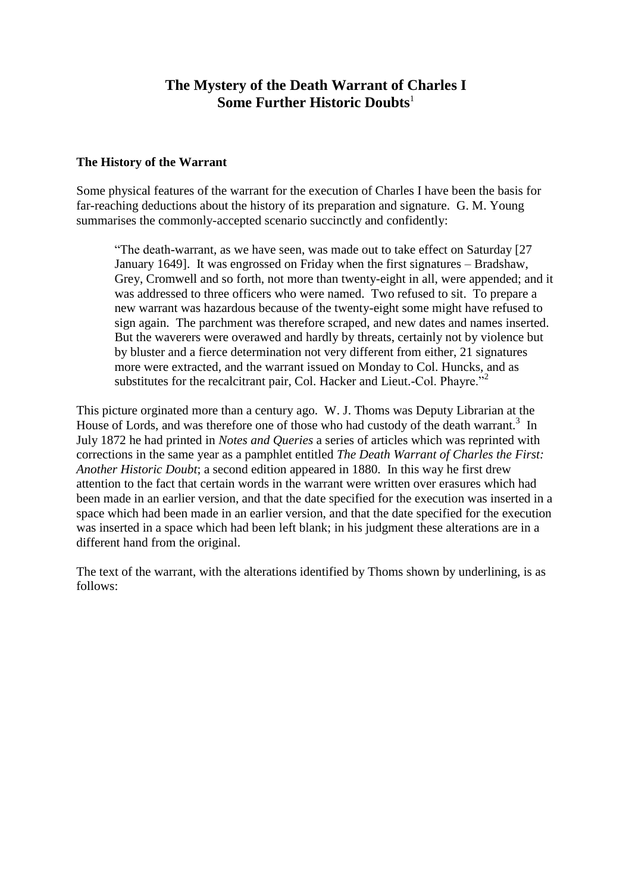## **The Mystery of the Death Warrant of Charles I Some Further Historic Doubts**<sup>1</sup>

#### **The History of the Warrant**

Some physical features of the warrant for the execution of Charles I have been the basis for far-reaching deductions about the history of its preparation and signature. G. M. Young summarises the commonly-accepted scenario succinctly and confidently:

"The death-warrant, as we have seen, was made out to take effect on Saturday [27 January 1649]. It was engrossed on Friday when the first signatures – Bradshaw, Grey, Cromwell and so forth, not more than twenty-eight in all, were appended; and it was addressed to three officers who were named. Two refused to sit. To prepare a new warrant was hazardous because of the twenty-eight some might have refused to sign again. The parchment was therefore scraped, and new dates and names inserted. But the waverers were overawed and hardly by threats, certainly not by violence but by bluster and a fierce determination not very different from either, 21 signatures more were extracted, and the warrant issued on Monday to Col. Huncks, and as substitutes for the recalcitrant pair, Col. Hacker and Lieut.-Col. Phayre."<sup>2</sup>

This picture orginated more than a century ago. W. J. Thoms was Deputy Librarian at the House of Lords, and was therefore one of those who had custody of the death warrant.<sup>3</sup> In July 1872 he had printed in *Notes and Queries* a series of articles which was reprinted with corrections in the same year as a pamphlet entitled *The Death Warrant of Charles the First: Another Historic Doubt*; a second edition appeared in 1880. In this way he first drew attention to the fact that certain words in the warrant were written over erasures which had been made in an earlier version, and that the date specified for the execution was inserted in a space which had been made in an earlier version, and that the date specified for the execution was inserted in a space which had been left blank; in his judgment these alterations are in a different hand from the original.

The text of the warrant, with the alterations identified by Thoms shown by underlining, is as follows: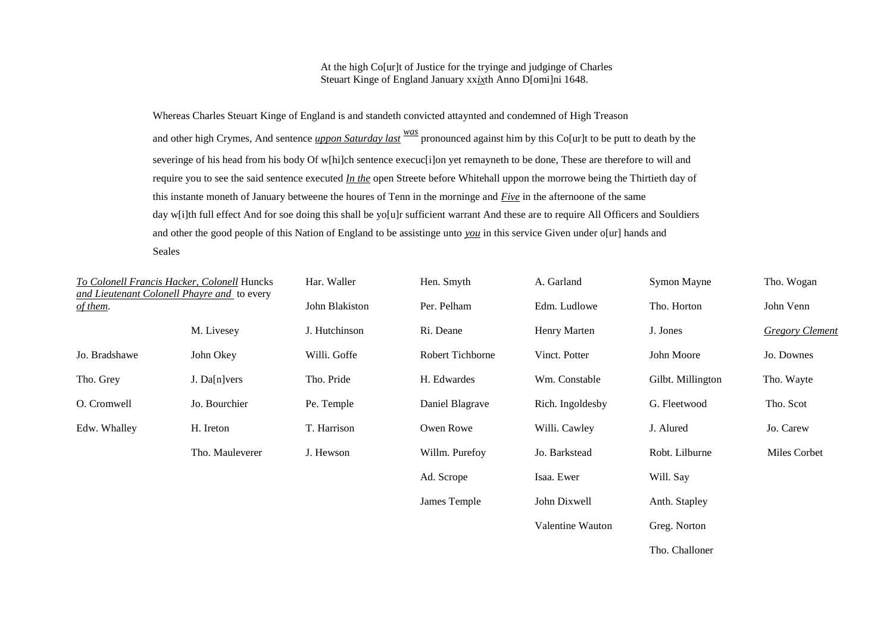At the high Co[ur]t of Justice for the tryinge and judginge of Charles Steuart Kinge of England January xx*ix*th Anno D[omi]ni 1648.

Whereas Charles Steuart Kinge of England is and standeth convicted attaynted and condemned of High Treason and other high Crymes, And sentence *uppon Saturday last was* pronounced against him by this Co[ur]t to be putt to death by the severinge of his head from his body Of w[hi]ch sentence execuc[i]on yet remayneth to be done, These are therefore to will and require you to see the said sentence executed *In the* open Streete before Whitehall uppon the morrowe being the Thirtieth day of this instante moneth of January betweene the houres of Tenn in the morninge and *Five* in the afternoone of the same day w[i]th full effect And for soe doing this shall be yo[u]r sufficient warrant And these are to require All Officers and Souldiers and other the good people of this Nation of England to be assistinge unto *you* in this service Given under o[ur] hands and Seales

| To Colonell Francis Hacker, Colonell Huncks<br>and Lieutenant Colonell Phayre and to every |                 | Har. Waller    | Hen. Smyth       | A. Garland       | Symon Mayne       | Tho. Wogan             |
|--------------------------------------------------------------------------------------------|-----------------|----------------|------------------|------------------|-------------------|------------------------|
| of them.                                                                                   |                 | John Blakiston | Per. Pelham      | Edm. Ludlowe     | Tho. Horton       | John Venn              |
|                                                                                            | M. Livesey      | J. Hutchinson  | Ri. Deane        | Henry Marten     | J. Jones          | <b>Gregory Clement</b> |
| Jo. Bradshawe                                                                              | John Okey       | Willi. Goffe   | Robert Tichborne | Vinct. Potter    | John Moore        | Jo. Downes             |
| Tho. Grey                                                                                  | J. Da[n]vers    | Tho. Pride     | H. Edwardes      | Wm. Constable    | Gilbt. Millington | Tho. Wayte             |
| O. Cromwell                                                                                | Jo. Bourchier   | Pe. Temple     | Daniel Blagrave  | Rich. Ingoldesby | G. Fleetwood      | Tho. Scot              |
| Edw. Whalley                                                                               | H. Ireton       | T. Harrison    | Owen Rowe        | Willi. Cawley    | J. Alured         | Jo. Carew              |
|                                                                                            | Tho. Mauleverer | J. Hewson      | Willm. Purefoy   | Jo. Barkstead    | Robt. Lilburne    | Miles Corbet           |
|                                                                                            |                 |                | Ad. Scrope       | Isaa. Ewer       | Will. Say         |                        |
|                                                                                            |                 |                | James Temple     | John Dixwell     | Anth. Stapley     |                        |
|                                                                                            |                 |                |                  | Valentine Wauton | Greg. Norton      |                        |
|                                                                                            |                 |                |                  |                  |                   |                        |

Tho. Challoner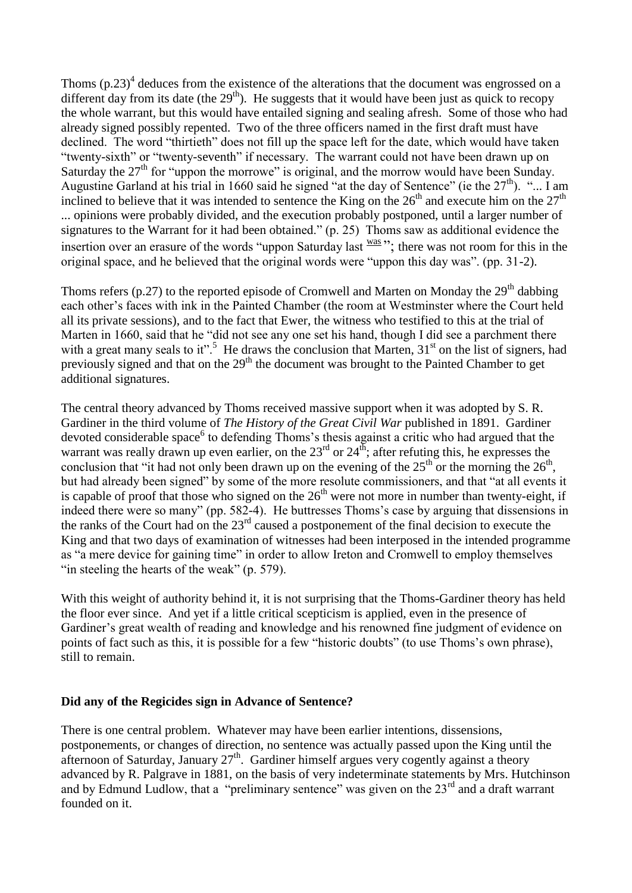Thoms  $(p.23)^4$  deduces from the existence of the alterations that the document was engrossed on a different day from its date (the  $29<sup>th</sup>$ ). He suggests that it would have been just as quick to recopy the whole warrant, but this would have entailed signing and sealing afresh. Some of those who had already signed possibly repented. Two of the three officers named in the first draft must have declined. The word "thirtieth" does not fill up the space left for the date, which would have taken "twenty-sixth" or "twenty-seventh" if necessary. The warrant could not have been drawn up on Saturday the  $27<sup>th</sup>$  for "uppon the morrowe" is original, and the morrow would have been Sunday. Augustine Garland at his trial in 1660 said he signed "at the day of Sentence" (ie the  $27<sup>th</sup>$ ). "... I am inclined to believe that it was intended to sentence the King on the  $26<sup>th</sup>$  and execute him on the  $27<sup>th</sup>$ ... opinions were probably divided, and the execution probably postponed, until a larger number of signatures to the Warrant for it had been obtained." (p. 25) Thoms saw as additional evidence the insertion over an erasure of the words "uppon Saturday last  $\frac{was}{dx}$ "; there was not room for this in the original space, and he believed that the original words were "uppon this day was". (pp. 31-2).

Thoms refers (p.27) to the reported episode of Cromwell and Marten on Monday the  $29<sup>th</sup>$  dabbing each other's faces with ink in the Painted Chamber (the room at Westminster where the Court held all its private sessions), and to the fact that Ewer, the witness who testified to this at the trial of Marten in 1660, said that he "did not see any one set his hand, though I did see a parchment there with a great many seals to it".<sup>5</sup> He draws the conclusion that Marten,  $31<sup>st</sup>$  on the list of signers, had previously signed and that on the 29<sup>th</sup> the document was brought to the Painted Chamber to get additional signatures.

The central theory advanced by Thoms received massive support when it was adopted by S. R. Gardiner in the third volume of *The History of the Great Civil War* published in 1891. Gardiner devoted considerable space<sup>6</sup> to defending Thoms's thesis against a critic who had argued that the warrant was really drawn up even earlier, on the  $23<sup>rd</sup>$  or  $24<sup>th</sup>$ ; after refuting this, he expresses the conclusion that "it had not only been drawn up on the evening of the  $25<sup>th</sup>$  or the morning the  $26<sup>th</sup>$ , but had already been signed" by some of the more resolute commissioners, and that "at all events it is capable of proof that those who signed on the  $26<sup>th</sup>$  were not more in number than twenty-eight, if indeed there were so many" (pp. 582-4). He buttresses Thoms's case by arguing that dissensions in the ranks of the Court had on the 23rd caused a postponement of the final decision to execute the King and that two days of examination of witnesses had been interposed in the intended programme as "a mere device for gaining time" in order to allow Ireton and Cromwell to employ themselves "in steeling the hearts of the weak" (p. 579).

With this weight of authority behind it, it is not surprising that the Thoms-Gardiner theory has held the floor ever since. And yet if a little critical scepticism is applied, even in the presence of Gardiner's great wealth of reading and knowledge and his renowned fine judgment of evidence on points of fact such as this, it is possible for a few "historic doubts" (to use Thoms's own phrase), still to remain.

#### **Did any of the Regicides sign in Advance of Sentence?**

There is one central problem. Whatever may have been earlier intentions, dissensions, postponements, or changes of direction, no sentence was actually passed upon the King until the afternoon of Saturday, January  $27<sup>th</sup>$ . Gardiner himself argues very cogently against a theory advanced by R. Palgrave in 1881, on the basis of very indeterminate statements by Mrs. Hutchinson and by Edmund Ludlow, that a "preliminary sentence" was given on the  $23<sup>rd</sup>$  and a draft warrant founded on it.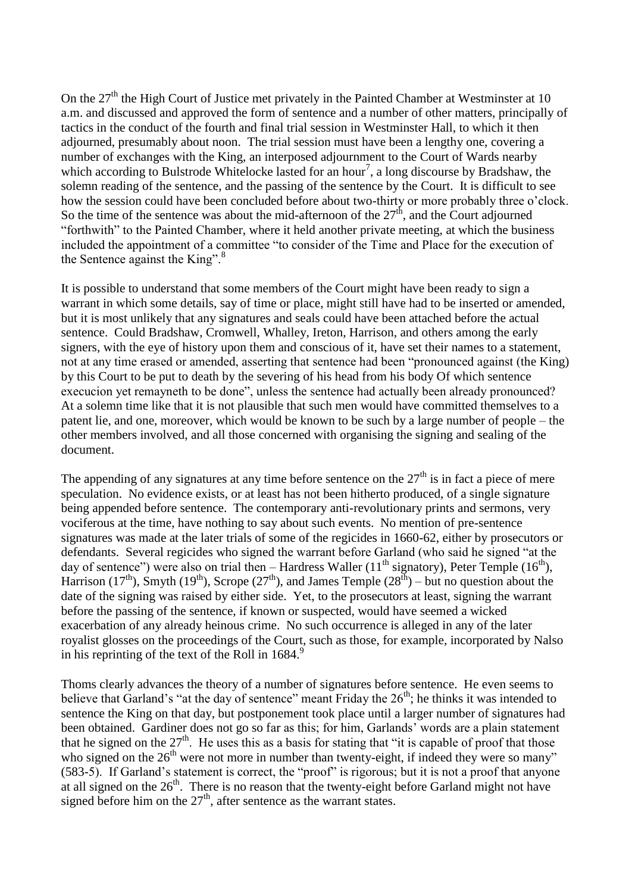On the  $27<sup>th</sup>$  the High Court of Justice met privately in the Painted Chamber at Westminster at 10 a.m. and discussed and approved the form of sentence and a number of other matters, principally of tactics in the conduct of the fourth and final trial session in Westminster Hall, to which it then adjourned, presumably about noon. The trial session must have been a lengthy one, covering a number of exchanges with the King, an interposed adjournment to the Court of Wards nearby which according to Bulstrode Whitelocke lasted for an hour<sup>7</sup>, a long discourse by Bradshaw, the solemn reading of the sentence, and the passing of the sentence by the Court. It is difficult to see how the session could have been concluded before about two-thirty or more probably three o'clock. So the time of the sentence was about the mid-afternoon of the  $27<sup>th</sup>$ , and the Court adjourned "forthwith" to the Painted Chamber, where it held another private meeting, at which the business included the appointment of a committee "to consider of the Time and Place for the execution of the Sentence against the King". $8^{\circ}$ 

It is possible to understand that some members of the Court might have been ready to sign a warrant in which some details, say of time or place, might still have had to be inserted or amended, but it is most unlikely that any signatures and seals could have been attached before the actual sentence. Could Bradshaw, Cromwell, Whalley, Ireton, Harrison, and others among the early signers, with the eye of history upon them and conscious of it, have set their names to a statement, not at any time erased or amended, asserting that sentence had been "pronounced against (the King) by this Court to be put to death by the severing of his head from his body Of which sentence execucion yet remayneth to be done", unless the sentence had actually been already pronounced? At a solemn time like that it is not plausible that such men would have committed themselves to a patent lie, and one, moreover, which would be known to be such by a large number of people – the other members involved, and all those concerned with organising the signing and sealing of the document.

The appending of any signatures at any time before sentence on the  $27<sup>th</sup>$  is in fact a piece of mere speculation. No evidence exists, or at least has not been hitherto produced, of a single signature being appended before sentence. The contemporary anti-revolutionary prints and sermons, very vociferous at the time, have nothing to say about such events. No mention of pre-sentence signatures was made at the later trials of some of the regicides in 1660-62, either by prosecutors or defendants. Several regicides who signed the warrant before Garland (who said he signed "at the day of sentence") were also on trial then – Hardress Waller (11<sup>th</sup> signatory), Peter Temple (16<sup>th</sup>), Harrison (17<sup>th</sup>), Smyth (19<sup>th</sup>), Scrope (27<sup>th</sup>), and James Temple (28<sup>th</sup>) – but no question about the date of the signing was raised by either side. Yet, to the prosecutors at least, signing the warrant before the passing of the sentence, if known or suspected, would have seemed a wicked exacerbation of any already heinous crime. No such occurrence is alleged in any of the later royalist glosses on the proceedings of the Court, such as those, for example, incorporated by Nalso in his reprinting of the text of the Roll in  $1684$ .<sup>9</sup>

Thoms clearly advances the theory of a number of signatures before sentence. He even seems to believe that Garland's "at the day of sentence" meant Friday the  $26<sup>th</sup>$ ; he thinks it was intended to sentence the King on that day, but postponement took place until a larger number of signatures had been obtained. Gardiner does not go so far as this; for him, Garlands' words are a plain statement that he signed on the  $27<sup>th</sup>$ . He uses this as a basis for stating that "it is capable of proof that those who signed on the  $26<sup>th</sup>$  were not more in number than twenty-eight, if indeed they were so many" (583-5). If Garland's statement is correct, the "proof" is rigorous; but it is not a proof that anyone at all signed on the  $26<sup>th</sup>$ . There is no reason that the twenty-eight before Garland might not have signed before him on the  $27<sup>th</sup>$ , after sentence as the warrant states.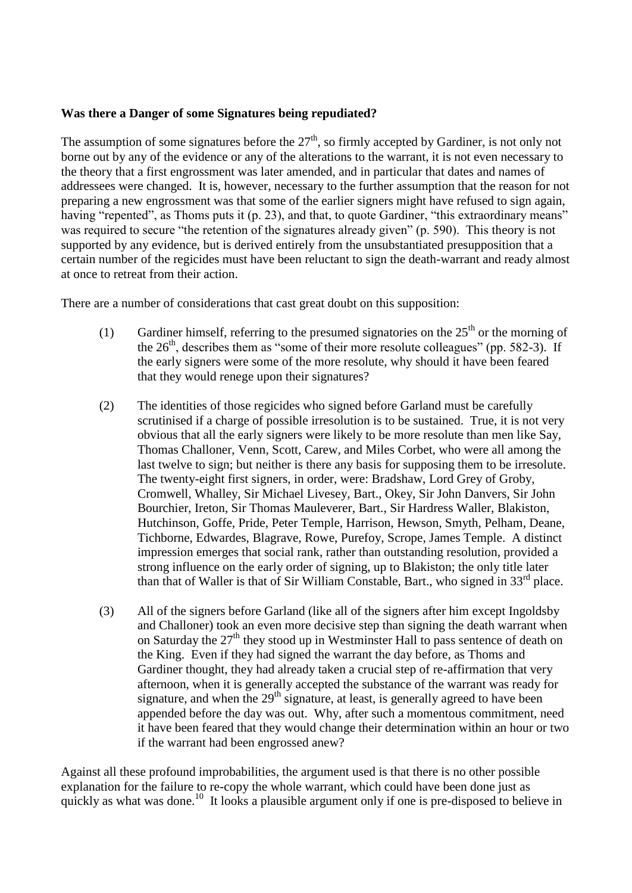#### **Was there a Danger of some Signatures being repudiated?**

The assumption of some signatures before the  $27<sup>th</sup>$ , so firmly accepted by Gardiner, is not only not borne out by any of the evidence or any of the alterations to the warrant, it is not even necessary to the theory that a first engrossment was later amended, and in particular that dates and names of addressees were changed. It is, however, necessary to the further assumption that the reason for not preparing a new engrossment was that some of the earlier signers might have refused to sign again, having "repented", as Thoms puts it (p. 23), and that, to quote Gardiner, "this extraordinary means" was required to secure "the retention of the signatures already given" (p. 590). This theory is not supported by any evidence, but is derived entirely from the unsubstantiated presupposition that a certain number of the regicides must have been reluctant to sign the death-warrant and ready almost at once to retreat from their action.

There are a number of considerations that cast great doubt on this supposition:

- (1) Gardiner himself, referring to the presumed signatories on the  $25<sup>th</sup>$  or the morning of the  $26<sup>th</sup>$ , describes them as "some of their more resolute colleagues" (pp. 582-3). If the early signers were some of the more resolute, why should it have been feared that they would renege upon their signatures?
- (2) The identities of those regicides who signed before Garland must be carefully scrutinised if a charge of possible irresolution is to be sustained. True, it is not very obvious that all the early signers were likely to be more resolute than men like Say, Thomas Challoner, Venn, Scott, Carew, and Miles Corbet, who were all among the last twelve to sign; but neither is there any basis for supposing them to be irresolute. The twenty-eight first signers, in order, were: Bradshaw, Lord Grey of Groby, Cromwell, Whalley, Sir Michael Livesey, Bart., Okey, Sir John Danvers, Sir John Bourchier, Ireton, Sir Thomas Mauleverer, Bart., Sir Hardress Waller, Blakiston, Hutchinson, Goffe, Pride, Peter Temple, Harrison, Hewson, Smyth, Pelham, Deane, Tichborne, Edwardes, Blagrave, Rowe, Purefoy, Scrope, James Temple. A distinct impression emerges that social rank, rather than outstanding resolution, provided a strong influence on the early order of signing, up to Blakiston; the only title later than that of Waller is that of Sir William Constable, Bart., who signed in  $33<sup>rd</sup>$  place.
- (3) All of the signers before Garland (like all of the signers after him except Ingoldsby and Challoner) took an even more decisive step than signing the death warrant when on Saturday the  $27<sup>th</sup>$  they stood up in Westminster Hall to pass sentence of death on the King. Even if they had signed the warrant the day before, as Thoms and Gardiner thought, they had already taken a crucial step of re-affirmation that very afternoon, when it is generally accepted the substance of the warrant was ready for signature, and when the  $29<sup>th</sup>$  signature, at least, is generally agreed to have been appended before the day was out. Why, after such a momentous commitment, need it have been feared that they would change their determination within an hour or two if the warrant had been engrossed anew?

Against all these profound improbabilities, the argument used is that there is no other possible explanation for the failure to re-copy the whole warrant, which could have been done just as quickly as what was done.<sup>10</sup> It looks a plausible argument only if one is pre-disposed to believe in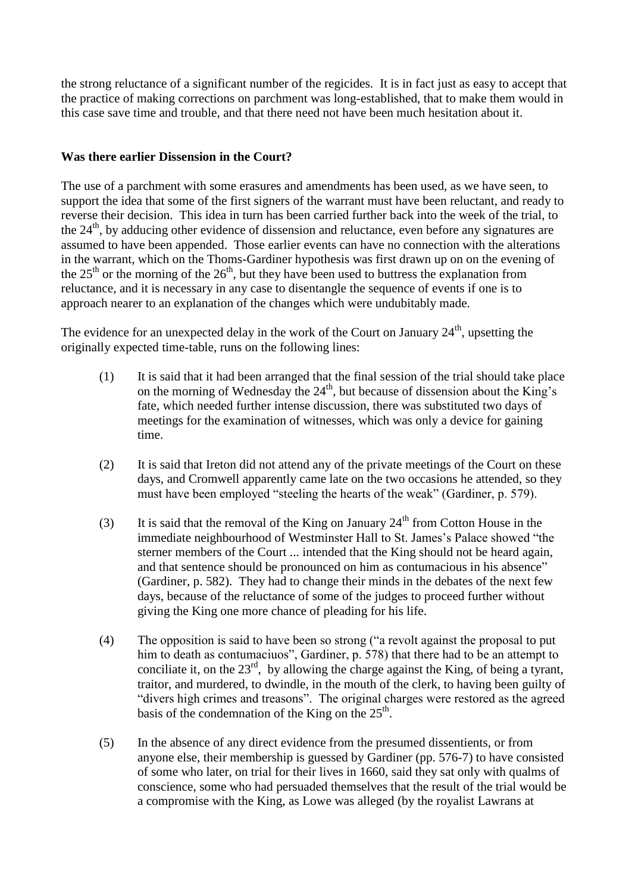the strong reluctance of a significant number of the regicides. It is in fact just as easy to accept that the practice of making corrections on parchment was long-established, that to make them would in this case save time and trouble, and that there need not have been much hesitation about it.

## **Was there earlier Dissension in the Court?**

The use of a parchment with some erasures and amendments has been used, as we have seen, to support the idea that some of the first signers of the warrant must have been reluctant, and ready to reverse their decision. This idea in turn has been carried further back into the week of the trial, to the  $24<sup>th</sup>$ , by adducing other evidence of dissension and reluctance, even before any signatures are assumed to have been appended. Those earlier events can have no connection with the alterations in the warrant, which on the Thoms-Gardiner hypothesis was first drawn up on on the evening of the  $25<sup>th</sup>$  or the morning of the  $26<sup>th</sup>$ , but they have been used to buttress the explanation from reluctance, and it is necessary in any case to disentangle the sequence of events if one is to approach nearer to an explanation of the changes which were undubitably made.

The evidence for an unexpected delay in the work of the Court on January  $24<sup>th</sup>$ , upsetting the originally expected time-table, runs on the following lines:

- (1) It is said that it had been arranged that the final session of the trial should take place on the morning of Wednesday the  $24<sup>th</sup>$ , but because of dissension about the King's fate, which needed further intense discussion, there was substituted two days of meetings for the examination of witnesses, which was only a device for gaining time.
- (2) It is said that Ireton did not attend any of the private meetings of the Court on these days, and Cromwell apparently came late on the two occasions he attended, so they must have been employed "steeling the hearts of the weak" (Gardiner, p. 579).
- (3) It is said that the removal of the King on January  $24<sup>th</sup>$  from Cotton House in the immediate neighbourhood of Westminster Hall to St. James's Palace showed "the sterner members of the Court ... intended that the King should not be heard again, and that sentence should be pronounced on him as contumacious in his absence" (Gardiner, p. 582). They had to change their minds in the debates of the next few days, because of the reluctance of some of the judges to proceed further without giving the King one more chance of pleading for his life.
- (4) The opposition is said to have been so strong ("a revolt against the proposal to put him to death as contumaciuos", Gardiner, p. 578) that there had to be an attempt to conciliate it, on the  $23<sup>rd</sup>$ , by allowing the charge against the King, of being a tyrant, traitor, and murdered, to dwindle, in the mouth of the clerk, to having been guilty of "divers high crimes and treasons". The original charges were restored as the agreed basis of the condemnation of the King on the  $25<sup>th</sup>$ .
- (5) In the absence of any direct evidence from the presumed dissentients, or from anyone else, their membership is guessed by Gardiner (pp. 576-7) to have consisted of some who later, on trial for their lives in 1660, said they sat only with qualms of conscience, some who had persuaded themselves that the result of the trial would be a compromise with the King, as Lowe was alleged (by the royalist Lawrans at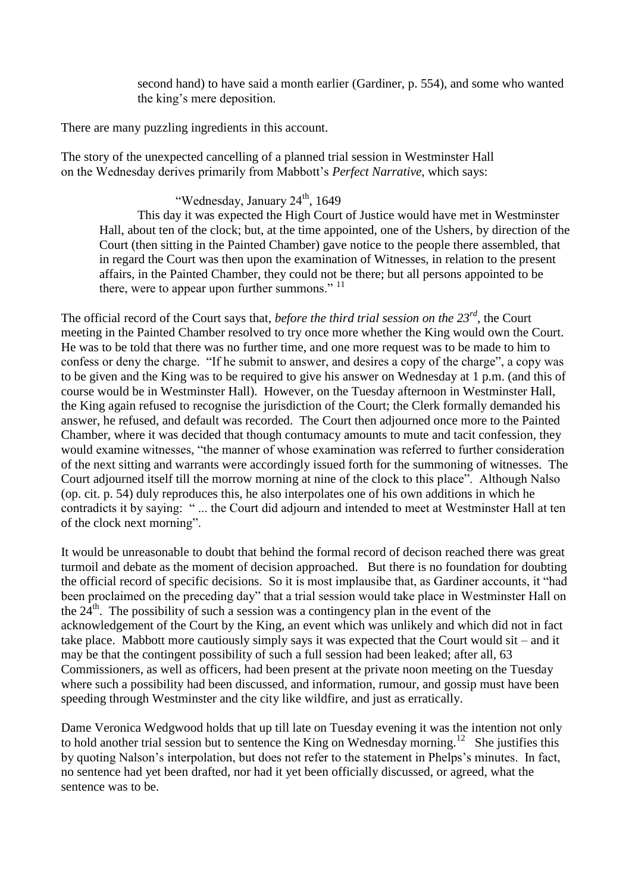second hand) to have said a month earlier (Gardiner, p. 554), and some who wanted the king's mere deposition.

There are many puzzling ingredients in this account.

The story of the unexpected cancelling of a planned trial session in Westminster Hall on the Wednesday derives primarily from Mabbott's *Perfect Narrative*, which says:

## "Wednesday, January 24<sup>th</sup>, 1649

This day it was expected the High Court of Justice would have met in Westminster Hall, about ten of the clock; but, at the time appointed, one of the Ushers, by direction of the Court (then sitting in the Painted Chamber) gave notice to the people there assembled, that in regard the Court was then upon the examination of Witnesses, in relation to the present affairs, in the Painted Chamber, they could not be there; but all persons appointed to be there, were to appear upon further summons."<sup>11</sup>

The official record of the Court says that, *before the third trial session on the 23rd*, the Court meeting in the Painted Chamber resolved to try once more whether the King would own the Court. He was to be told that there was no further time, and one more request was to be made to him to confess or deny the charge. "If he submit to answer, and desires a copy of the charge", a copy was to be given and the King was to be required to give his answer on Wednesday at 1 p.m. (and this of course would be in Westminster Hall). However, on the Tuesday afternoon in Westminster Hall, the King again refused to recognise the jurisdiction of the Court; the Clerk formally demanded his answer, he refused, and default was recorded. The Court then adjourned once more to the Painted Chamber, where it was decided that though contumacy amounts to mute and tacit confession, they would examine witnesses, "the manner of whose examination was referred to further consideration of the next sitting and warrants were accordingly issued forth for the summoning of witnesses. The Court adjourned itself till the morrow morning at nine of the clock to this place". Although Nalso (op. cit. p. 54) duly reproduces this, he also interpolates one of his own additions in which he contradicts it by saying: " ... the Court did adjourn and intended to meet at Westminster Hall at ten of the clock next morning".

It would be unreasonable to doubt that behind the formal record of decison reached there was great turmoil and debate as the moment of decision approached. But there is no foundation for doubting the official record of specific decisions. So it is most implausibe that, as Gardiner accounts, it "had been proclaimed on the preceding day" that a trial session would take place in Westminster Hall on the  $24<sup>th</sup>$ . The possibility of such a session was a contingency plan in the event of the acknowledgement of the Court by the King, an event which was unlikely and which did not in fact take place. Mabbott more cautiously simply says it was expected that the Court would sit – and it may be that the contingent possibility of such a full session had been leaked; after all, 63 Commissioners, as well as officers, had been present at the private noon meeting on the Tuesday where such a possibility had been discussed, and information, rumour, and gossip must have been speeding through Westminster and the city like wildfire, and just as erratically.

Dame Veronica Wedgwood holds that up till late on Tuesday evening it was the intention not only to hold another trial session but to sentence the King on Wednesday morning.<sup>12</sup> She justifies this by quoting Nalson's interpolation, but does not refer to the statement in Phelps's minutes. In fact, no sentence had yet been drafted, nor had it yet been officially discussed, or agreed, what the sentence was to be.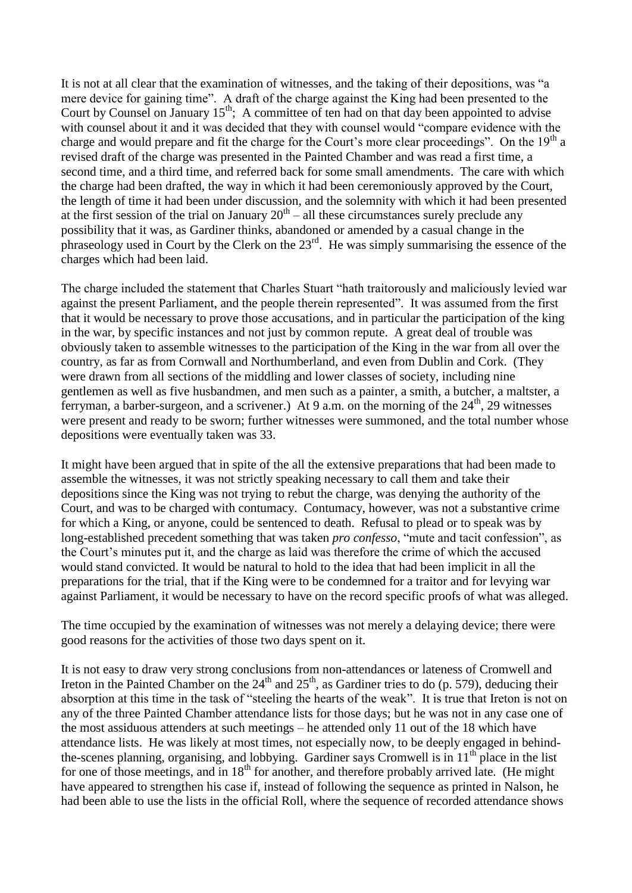It is not at all clear that the examination of witnesses, and the taking of their depositions, was "a mere device for gaining time". A draft of the charge against the King had been presented to the Court by Counsel on January  $15<sup>th</sup>$ ; A committee of ten had on that day been appointed to advise with counsel about it and it was decided that they with counsel would "compare evidence with the charge and would prepare and fit the charge for the Court's more clear proceedings". On the  $19<sup>th</sup>$  a revised draft of the charge was presented in the Painted Chamber and was read a first time, a second time, and a third time, and referred back for some small amendments. The care with which the charge had been drafted, the way in which it had been ceremoniously approved by the Court, the length of time it had been under discussion, and the solemnity with which it had been presented at the first session of the trial on January  $20<sup>th</sup> -$  all these circumstances surely preclude any possibility that it was, as Gardiner thinks, abandoned or amended by a casual change in the phraseology used in Court by the Clerk on the  $23<sup>rd</sup>$ . He was simply summarising the essence of the charges which had been laid.

The charge included the statement that Charles Stuart "hath traitorously and maliciously levied war against the present Parliament, and the people therein represented". It was assumed from the first that it would be necessary to prove those accusations, and in particular the participation of the king in the war, by specific instances and not just by common repute. A great deal of trouble was obviously taken to assemble witnesses to the participation of the King in the war from all over the country, as far as from Cornwall and Northumberland, and even from Dublin and Cork. (They were drawn from all sections of the middling and lower classes of society, including nine gentlemen as well as five husbandmen, and men such as a painter, a smith, a butcher, a maltster, a ferryman, a barber-surgeon, and a scrivener.) At 9 a.m. on the morning of the  $24<sup>th</sup>$ , 29 witnesses were present and ready to be sworn; further witnesses were summoned, and the total number whose depositions were eventually taken was 33.

It might have been argued that in spite of the all the extensive preparations that had been made to assemble the witnesses, it was not strictly speaking necessary to call them and take their depositions since the King was not trying to rebut the charge, was denying the authority of the Court, and was to be charged with contumacy. Contumacy, however, was not a substantive crime for which a King, or anyone, could be sentenced to death. Refusal to plead or to speak was by long-established precedent something that was taken *pro confesso*, "mute and tacit confession", as the Court's minutes put it, and the charge as laid was therefore the crime of which the accused would stand convicted. It would be natural to hold to the idea that had been implicit in all the preparations for the trial, that if the King were to be condemned for a traitor and for levying war against Parliament, it would be necessary to have on the record specific proofs of what was alleged.

The time occupied by the examination of witnesses was not merely a delaying device; there were good reasons for the activities of those two days spent on it.

It is not easy to draw very strong conclusions from non-attendances or lateness of Cromwell and Ireton in the Painted Chamber on the  $24<sup>th</sup>$  and  $25<sup>th</sup>$ , as Gardiner tries to do (p. 579), deducing their absorption at this time in the task of "steeling the hearts of the weak". It is true that Ireton is not on any of the three Painted Chamber attendance lists for those days; but he was not in any case one of the most assiduous attenders at such meetings – he attended only 11 out of the 18 which have attendance lists. He was likely at most times, not especially now, to be deeply engaged in behindthe-scenes planning, organising, and lobbying. Gardiner says Cromwell is in 11<sup>th</sup> place in the list for one of those meetings, and in  $18<sup>th</sup>$  for another, and therefore probably arrived late. (He might have appeared to strengthen his case if, instead of following the sequence as printed in Nalson, he had been able to use the lists in the official Roll, where the sequence of recorded attendance shows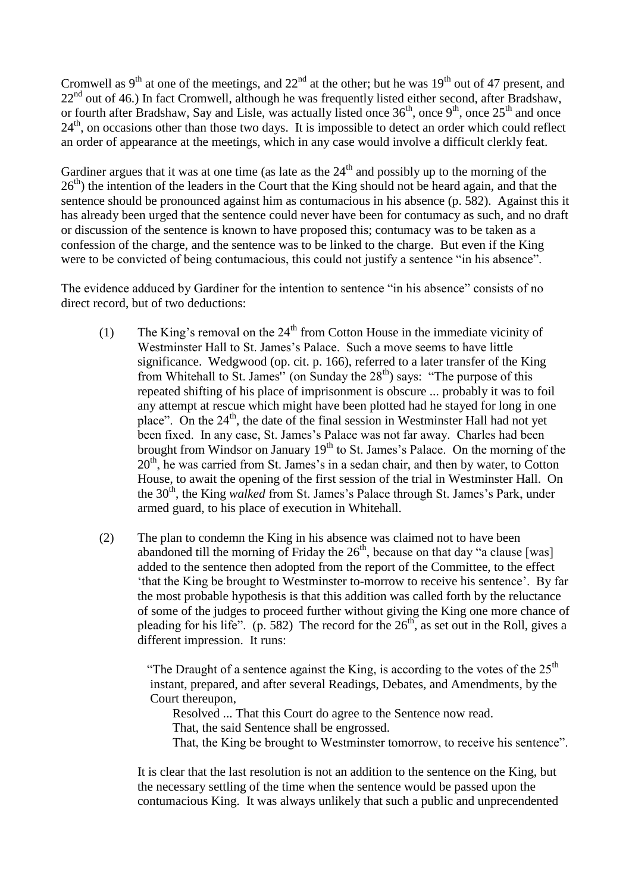Cromwell as  $9<sup>th</sup>$  at one of the meetings, and  $22<sup>nd</sup>$  at the other; but he was  $19<sup>th</sup>$  out of 47 present, and  $22<sup>nd</sup>$  out of 46.) In fact Cromwell, although he was frequently listed either second, after Bradshaw, or fourth after Bradshaw, Say and Lisle, was actually listed once  $36<sup>th</sup>$ , once  $9<sup>th</sup>$ , once  $25<sup>th</sup>$  and once 24<sup>th</sup>, on occasions other than those two days. It is impossible to detect an order which could reflect an order of appearance at the meetings, which in any case would involve a difficult clerkly feat.

Gardiner argues that it was at one time (as late as the  $24<sup>th</sup>$  and possibly up to the morning of the 26<sup>th</sup>) the intention of the leaders in the Court that the King should not be heard again, and that the sentence should be pronounced against him as contumacious in his absence (p. 582). Against this it has already been urged that the sentence could never have been for contumacy as such, and no draft or discussion of the sentence is known to have proposed this; contumacy was to be taken as a confession of the charge, and the sentence was to be linked to the charge. But even if the King were to be convicted of being contumacious, this could not justify a sentence "in his absence".

The evidence adduced by Gardiner for the intention to sentence "in his absence" consists of no direct record, but of two deductions:

- (1) The King's removal on the  $24<sup>th</sup>$  from Cotton House in the immediate vicinity of Westminster Hall to St. James's Palace. Such a move seems to have little significance. Wedgwood (op. cit. p. 166), referred to a later transfer of the King from Whitehall to St. James" (on Sunday the  $28<sup>th</sup>$ ) says: "The purpose of this repeated shifting of his place of imprisonment is obscure ... probably it was to foil any attempt at rescue which might have been plotted had he stayed for long in one place". On the 24<sup>th</sup>, the date of the final session in Westminster Hall had not yet been fixed. In any case, St. James's Palace was not far away. Charles had been brought from Windsor on January 19<sup>th</sup> to St. James's Palace. On the morning of the  $20<sup>th</sup>$ , he was carried from St. James's in a sedan chair, and then by water, to Cotton House, to await the opening of the first session of the trial in Westminster Hall. On the 30<sup>th</sup>, the King *walked* from St. James's Palace through St. James's Park, under armed guard, to his place of execution in Whitehall.
- (2) The plan to condemn the King in his absence was claimed not to have been abandoned till the morning of Friday the  $26<sup>th</sup>$ , because on that day "a clause [was] added to the sentence then adopted from the report of the Committee, to the effect 'that the King be brought to Westminster to-morrow to receive his sentence'. By far the most probable hypothesis is that this addition was called forth by the reluctance of some of the judges to proceed further without giving the King one more chance of pleading for his life". (p. 582) The record for the  $26<sup>th</sup>$ , as set out in the Roll, gives a different impression. It runs:

"The Draught of a sentence against the King, is according to the votes of the  $25<sup>th</sup>$  instant, prepared, and after several Readings, Debates, and Amendments, by the Court thereupon,

Resolved ... That this Court do agree to the Sentence now read.

That, the said Sentence shall be engrossed.

That, the King be brought to Westminster tomorrow, to receive his sentence".

It is clear that the last resolution is not an addition to the sentence on the King, but the necessary settling of the time when the sentence would be passed upon the contumacious King. It was always unlikely that such a public and unprecendented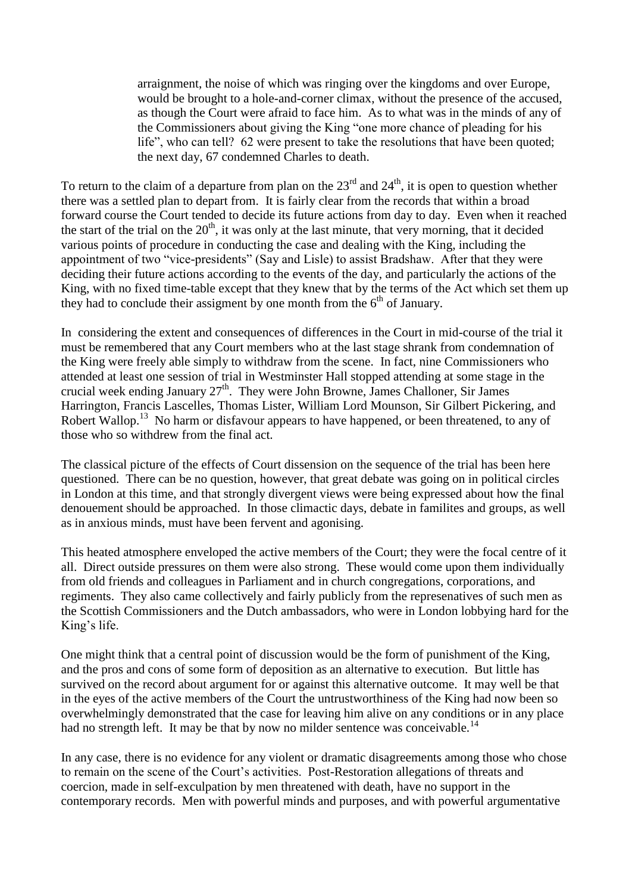arraignment, the noise of which was ringing over the kingdoms and over Europe, would be brought to a hole-and-corner climax, without the presence of the accused, as though the Court were afraid to face him. As to what was in the minds of any of the Commissioners about giving the King "one more chance of pleading for his life", who can tell? 62 were present to take the resolutions that have been quoted; the next day, 67 condemned Charles to death.

To return to the claim of a departure from plan on the  $23<sup>rd</sup>$  and  $24<sup>th</sup>$ , it is open to question whether there was a settled plan to depart from. It is fairly clear from the records that within a broad forward course the Court tended to decide its future actions from day to day. Even when it reached the start of the trial on the  $20<sup>th</sup>$ , it was only at the last minute, that very morning, that it decided various points of procedure in conducting the case and dealing with the King, including the appointment of two "vice-presidents" (Say and Lisle) to assist Bradshaw. After that they were deciding their future actions according to the events of the day, and particularly the actions of the King, with no fixed time-table except that they knew that by the terms of the Act which set them up they had to conclude their assigment by one month from the  $6<sup>th</sup>$  of January.

In considering the extent and consequences of differences in the Court in mid-course of the trial it must be remembered that any Court members who at the last stage shrank from condemnation of the King were freely able simply to withdraw from the scene. In fact, nine Commissioners who attended at least one session of trial in Westminster Hall stopped attending at some stage in the crucial week ending January  $27<sup>th</sup>$ . They were John Browne, James Challoner, Sir James Harrington, Francis Lascelles, Thomas Lister, William Lord Mounson, Sir Gilbert Pickering, and Robert Wallop.<sup>13</sup> No harm or disfavour appears to have happened, or been threatened, to any of those who so withdrew from the final act.

The classical picture of the effects of Court dissension on the sequence of the trial has been here questioned. There can be no question, however, that great debate was going on in political circles in London at this time, and that strongly divergent views were being expressed about how the final denouement should be approached. In those climactic days, debate in familites and groups, as well as in anxious minds, must have been fervent and agonising.

This heated atmosphere enveloped the active members of the Court; they were the focal centre of it all. Direct outside pressures on them were also strong. These would come upon them individually from old friends and colleagues in Parliament and in church congregations, corporations, and regiments. They also came collectively and fairly publicly from the represenatives of such men as the Scottish Commissioners and the Dutch ambassadors, who were in London lobbying hard for the King's life.

One might think that a central point of discussion would be the form of punishment of the King, and the pros and cons of some form of deposition as an alternative to execution. But little has survived on the record about argument for or against this alternative outcome. It may well be that in the eyes of the active members of the Court the untrustworthiness of the King had now been so overwhelmingly demonstrated that the case for leaving him alive on any conditions or in any place had no strength left. It may be that by now no milder sentence was conceivable.<sup>14</sup>

In any case, there is no evidence for any violent or dramatic disagreements among those who chose to remain on the scene of the Court's activities. Post-Restoration allegations of threats and coercion, made in self-exculpation by men threatened with death, have no support in the contemporary records. Men with powerful minds and purposes, and with powerful argumentative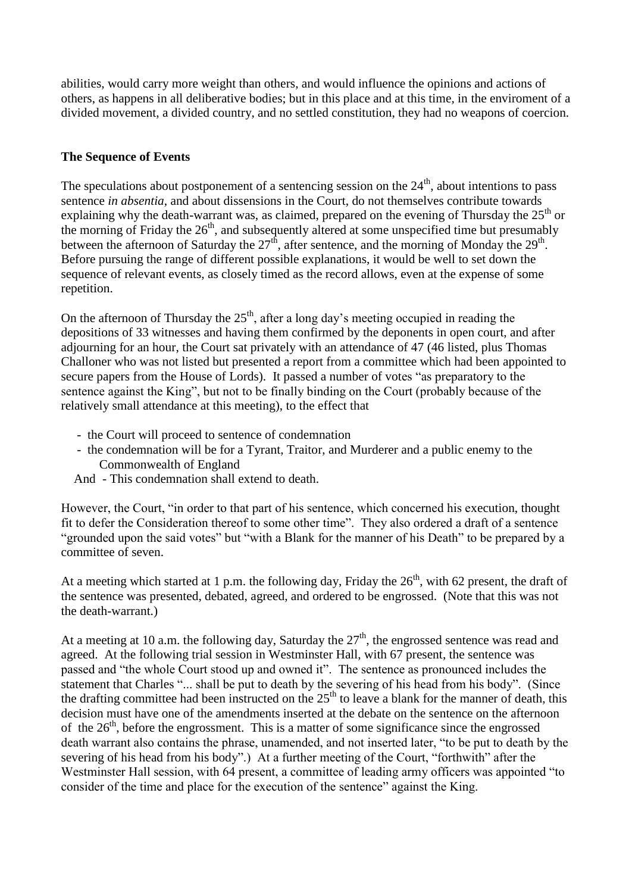abilities, would carry more weight than others, and would influence the opinions and actions of others, as happens in all deliberative bodies; but in this place and at this time, in the enviroment of a divided movement, a divided country, and no settled constitution, they had no weapons of coercion.

## **The Sequence of Events**

The speculations about postponement of a sentencing session on the  $24<sup>th</sup>$ , about intentions to pass sentence *in absentia*, and about dissensions in the Court, do not themselves contribute towards explaining why the death-warrant was, as claimed, prepared on the evening of Thursday the  $25<sup>th</sup>$  or the morning of Friday the  $26<sup>th</sup>$ , and subsequently altered at some unspecified time but presumably between the afternoon of Saturday the  $27<sup>th</sup>$ , after sentence, and the morning of Monday the  $29<sup>th</sup>$ . Before pursuing the range of different possible explanations, it would be well to set down the sequence of relevant events, as closely timed as the record allows, even at the expense of some repetition.

On the afternoon of Thursday the  $25<sup>th</sup>$ , after a long day's meeting occupied in reading the depositions of 33 witnesses and having them confirmed by the deponents in open court, and after adjourning for an hour, the Court sat privately with an attendance of 47 (46 listed, plus Thomas Challoner who was not listed but presented a report from a committee which had been appointed to secure papers from the House of Lords). It passed a number of votes "as preparatory to the sentence against the King", but not to be finally binding on the Court (probably because of the relatively small attendance at this meeting), to the effect that

- the Court will proceed to sentence of condemnation
- the condemnation will be for a Tyrant, Traitor, and Murderer and a public enemy to the Commonwealth of England
- And This condemnation shall extend to death.

However, the Court, "in order to that part of his sentence, which concerned his execution, thought fit to defer the Consideration thereof to some other time". They also ordered a draft of a sentence "grounded upon the said votes" but "with a Blank for the manner of his Death" to be prepared by a committee of seven.

At a meeting which started at 1 p.m. the following day, Friday the  $26<sup>th</sup>$ , with 62 present, the draft of the sentence was presented, debated, agreed, and ordered to be engrossed. (Note that this was not the death-warrant.)

At a meeting at 10 a.m. the following day, Saturday the  $27<sup>th</sup>$ , the engrossed sentence was read and agreed. At the following trial session in Westminster Hall, with 67 present, the sentence was passed and "the whole Court stood up and owned it". The sentence as pronounced includes the statement that Charles "... shall be put to death by the severing of his head from his body". (Since the drafting committee had been instructed on the  $25<sup>th</sup>$  to leave a blank for the manner of death, this decision must have one of the amendments inserted at the debate on the sentence on the afternoon of the  $26<sup>th</sup>$ , before the engrossment. This is a matter of some significance since the engrossed death warrant also contains the phrase, unamended, and not inserted later, "to be put to death by the severing of his head from his body".) At a further meeting of the Court, "forthwith" after the Westminster Hall session, with 64 present, a committee of leading army officers was appointed "to consider of the time and place for the execution of the sentence" against the King.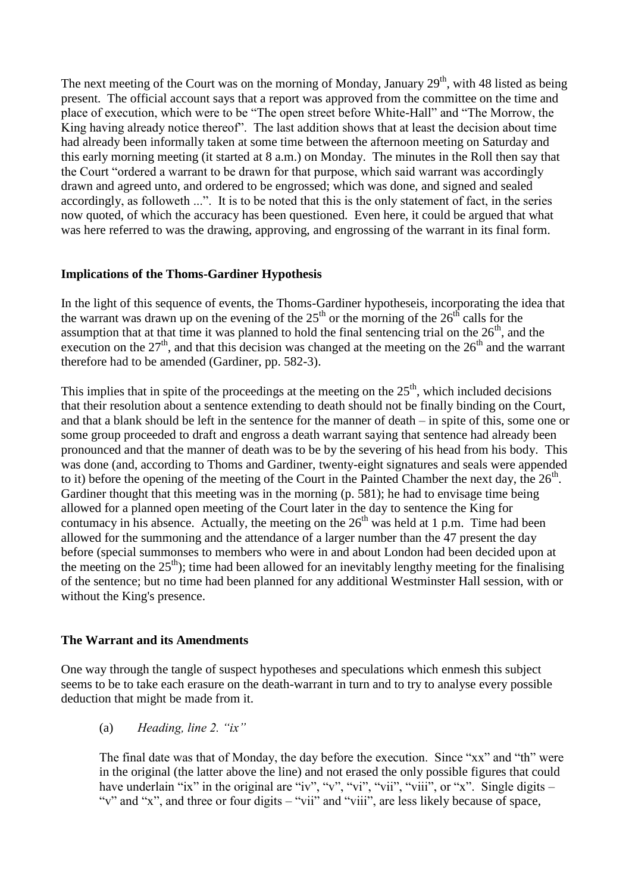The next meeting of the Court was on the morning of Monday, January  $29<sup>th</sup>$ , with 48 listed as being present. The official account says that a report was approved from the committee on the time and place of execution, which were to be "The open street before White-Hall" and "The Morrow, the King having already notice thereof". The last addition shows that at least the decision about time had already been informally taken at some time between the afternoon meeting on Saturday and this early morning meeting (it started at 8 a.m.) on Monday. The minutes in the Roll then say that the Court "ordered a warrant to be drawn for that purpose, which said warrant was accordingly drawn and agreed unto, and ordered to be engrossed; which was done, and signed and sealed accordingly, as followeth ...". It is to be noted that this is the only statement of fact, in the series now quoted, of which the accuracy has been questioned. Even here, it could be argued that what was here referred to was the drawing, approving, and engrossing of the warrant in its final form.

#### **Implications of the Thoms-Gardiner Hypothesis**

In the light of this sequence of events, the Thoms-Gardiner hypotheseis, incorporating the idea that the warrant was drawn up on the evening of the  $25<sup>th</sup>$  or the morning of the  $26<sup>th</sup>$  calls for the assumption that at that time it was planned to hold the final sentencing trial on the  $26<sup>th</sup>$ , and the execution on the  $27<sup>th</sup>$ , and that this decision was changed at the meeting on the  $26<sup>th</sup>$  and the warrant therefore had to be amended (Gardiner, pp. 582-3).

This implies that in spite of the proceedings at the meeting on the  $25<sup>th</sup>$ , which included decisions that their resolution about a sentence extending to death should not be finally binding on the Court, and that a blank should be left in the sentence for the manner of death – in spite of this, some one or some group proceeded to draft and engross a death warrant saying that sentence had already been pronounced and that the manner of death was to be by the severing of his head from his body. This was done (and, according to Thoms and Gardiner, twenty-eight signatures and seals were appended to it) before the opening of the meeting of the Court in the Painted Chamber the next day, the  $26<sup>th</sup>$ . Gardiner thought that this meeting was in the morning (p. 581); he had to envisage time being allowed for a planned open meeting of the Court later in the day to sentence the King for contumacy in his absence. Actually, the meeting on the  $26<sup>th</sup>$  was held at 1 p.m. Time had been allowed for the summoning and the attendance of a larger number than the 47 present the day before (special summonses to members who were in and about London had been decided upon at the meeting on the  $25<sup>th</sup>$ ; time had been allowed for an inevitably lengthy meeting for the finalising of the sentence; but no time had been planned for any additional Westminster Hall session, with or without the King's presence.

#### **The Warrant and its Amendments**

One way through the tangle of suspect hypotheses and speculations which enmesh this subject seems to be to take each erasure on the death-warrant in turn and to try to analyse every possible deduction that might be made from it.

(a) *Heading, line 2. "ix"*

The final date was that of Monday, the day before the execution. Since "xx" and "th" were in the original (the latter above the line) and not erased the only possible figures that could have underlain "ix" in the original are "iv", "v", "vii", "viii", "viii", or "x". Single digits – "v" and "x", and three or four digits – "vii" and "viii", are less likely because of space,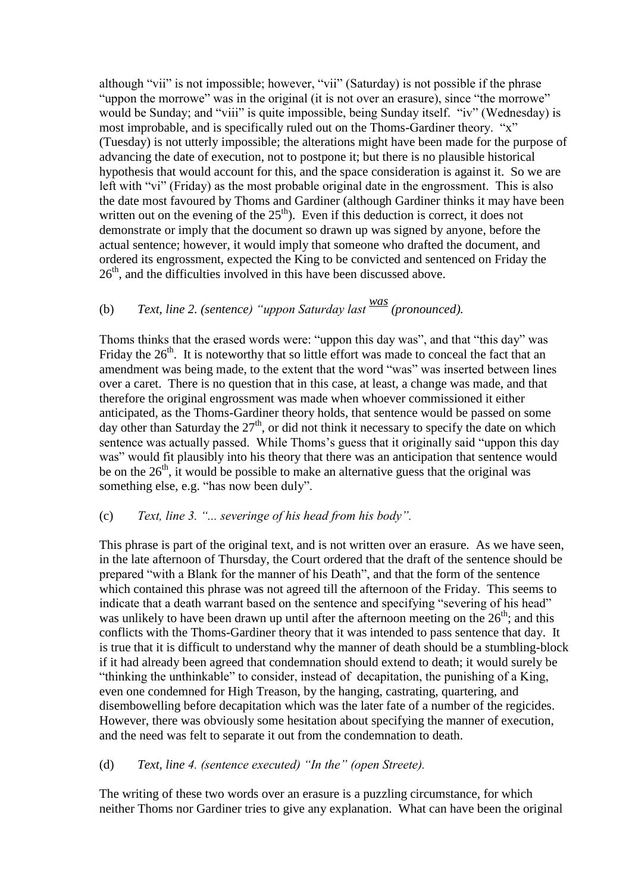although "vii" is not impossible; however, "vii" (Saturday) is not possible if the phrase "uppon the morrowe" was in the original (it is not over an erasure), since "the morrowe" would be Sunday; and "viii" is quite impossible, being Sunday itself. "iv" (Wednesday) is most improbable, and is specifically ruled out on the Thoms-Gardiner theory. "x" (Tuesday) is not utterly impossible; the alterations might have been made for the purpose of advancing the date of execution, not to postpone it; but there is no plausible historical hypothesis that would account for this, and the space consideration is against it. So we are left with "vi" (Friday) as the most probable original date in the engrossment. This is also the date most favoured by Thoms and Gardiner (although Gardiner thinks it may have been written out on the evening of the  $25<sup>th</sup>$ ). Even if this deduction is correct, it does not demonstrate or imply that the document so drawn up was signed by anyone, before the actual sentence; however, it would imply that someone who drafted the document, and ordered its engrossment, expected the King to be convicted and sentenced on Friday the  $26<sup>th</sup>$ , and the difficulties involved in this have been discussed above.

# (b) *Text, line 2. (sentence) "uppon Saturday last was (pronounced).*

Thoms thinks that the erased words were: "uppon this day was", and that "this day" was Friday the  $26<sup>th</sup>$ . It is noteworthy that so little effort was made to conceal the fact that an amendment was being made, to the extent that the word "was" was inserted between lines over a caret. There is no question that in this case, at least, a change was made, and that therefore the original engrossment was made when whoever commissioned it either anticipated, as the Thoms-Gardiner theory holds, that sentence would be passed on some day other than Saturday the  $27<sup>th</sup>$ , or did not think it necessary to specify the date on which sentence was actually passed. While Thoms's guess that it originally said "uppon this day was" would fit plausibly into his theory that there was an anticipation that sentence would be on the  $26<sup>th</sup>$ , it would be possible to make an alternative guess that the original was something else, e.g. "has now been duly".

## (c) *Text, line 3. "... severinge of his head from his body".*

This phrase is part of the original text, and is not written over an erasure. As we have seen, in the late afternoon of Thursday, the Court ordered that the draft of the sentence should be prepared "with a Blank for the manner of his Death", and that the form of the sentence which contained this phrase was not agreed till the afternoon of the Friday. This seems to indicate that a death warrant based on the sentence and specifying "severing of his head" was unlikely to have been drawn up until after the afternoon meeting on the  $26<sup>th</sup>$ ; and this conflicts with the Thoms-Gardiner theory that it was intended to pass sentence that day. It is true that it is difficult to understand why the manner of death should be a stumbling-block if it had already been agreed that condemnation should extend to death; it would surely be "thinking the unthinkable" to consider, instead of decapitation, the punishing of a King, even one condemned for High Treason, by the hanging, castrating, quartering, and disembowelling before decapitation which was the later fate of a number of the regicides. However, there was obviously some hesitation about specifying the manner of execution, and the need was felt to separate it out from the condemnation to death.

## (d) *Text, line 4. (sentence executed) "In the" (open Streete).*

The writing of these two words over an erasure is a puzzling circumstance, for which neither Thoms nor Gardiner tries to give any explanation. What can have been the original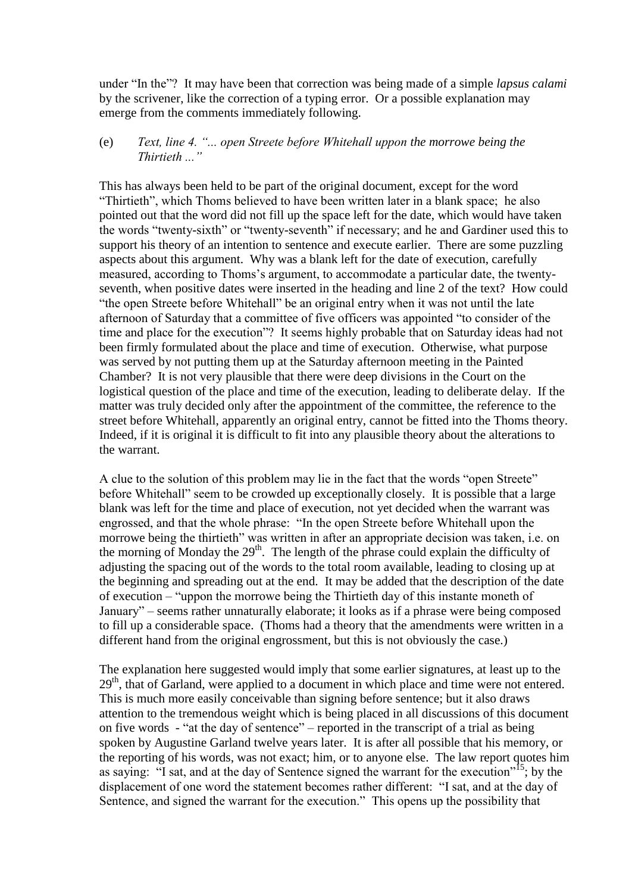under "In the"? It may have been that correction was being made of a simple *lapsus calami* by the scrivener, like the correction of a typing error. Or a possible explanation may emerge from the comments immediately following.

#### (e) *Text, line 4. "... open Streete before Whitehall uppon the morrowe being the Thirtieth ..."*

This has always been held to be part of the original document, except for the word "Thirtieth", which Thoms believed to have been written later in a blank space; he also pointed out that the word did not fill up the space left for the date, which would have taken the words "twenty-sixth" or "twenty-seventh" if necessary; and he and Gardiner used this to support his theory of an intention to sentence and execute earlier. There are some puzzling aspects about this argument. Why was a blank left for the date of execution, carefully measured, according to Thoms's argument, to accommodate a particular date, the twentyseventh, when positive dates were inserted in the heading and line 2 of the text? How could "the open Streete before Whitehall" be an original entry when it was not until the late afternoon of Saturday that a committee of five officers was appointed "to consider of the time and place for the execution"? It seems highly probable that on Saturday ideas had not been firmly formulated about the place and time of execution. Otherwise, what purpose was served by not putting them up at the Saturday afternoon meeting in the Painted Chamber? It is not very plausible that there were deep divisions in the Court on the logistical question of the place and time of the execution, leading to deliberate delay. If the matter was truly decided only after the appointment of the committee, the reference to the street before Whitehall, apparently an original entry, cannot be fitted into the Thoms theory. Indeed, if it is original it is difficult to fit into any plausible theory about the alterations to the warrant.

A clue to the solution of this problem may lie in the fact that the words "open Streete" before Whitehall" seem to be crowded up exceptionally closely. It is possible that a large blank was left for the time and place of execution, not yet decided when the warrant was engrossed, and that the whole phrase: "In the open Streete before Whitehall upon the morrowe being the thirtieth" was written in after an appropriate decision was taken, i.e. on the morning of Monday the  $29<sup>th</sup>$ . The length of the phrase could explain the difficulty of adjusting the spacing out of the words to the total room available, leading to closing up at the beginning and spreading out at the end. It may be added that the description of the date of execution – "uppon the morrowe being the Thirtieth day of this instante moneth of January" – seems rather unnaturally elaborate; it looks as if a phrase were being composed to fill up a considerable space. (Thoms had a theory that the amendments were written in a different hand from the original engrossment, but this is not obviously the case.)

The explanation here suggested would imply that some earlier signatures, at least up to the  $29<sup>th</sup>$ , that of Garland, were applied to a document in which place and time were not entered. This is much more easily conceivable than signing before sentence; but it also draws attention to the tremendous weight which is being placed in all discussions of this document on five words - "at the day of sentence" – reported in the transcript of a trial as being spoken by Augustine Garland twelve years later. It is after all possible that his memory, or the reporting of his words, was not exact; him, or to anyone else. The law report quotes him as saying: "I sat, and at the day of Sentence signed the warrant for the execution"<sup>15</sup>; by the displacement of one word the statement becomes rather different: "I sat, and at the day of Sentence, and signed the warrant for the execution." This opens up the possibility that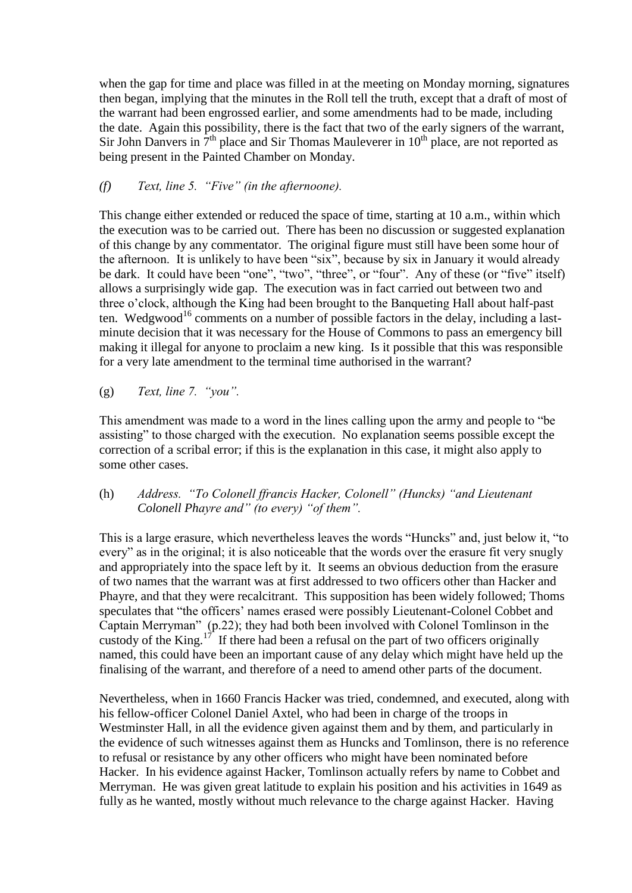when the gap for time and place was filled in at the meeting on Monday morning, signatures then began, implying that the minutes in the Roll tell the truth, except that a draft of most of the warrant had been engrossed earlier, and some amendments had to be made, including the date. Again this possibility, there is the fact that two of the early signers of the warrant, Sir John Danvers in  $7<sup>th</sup>$  place and Sir Thomas Mauleverer in  $10<sup>th</sup>$  place, are not reported as being present in the Painted Chamber on Monday.

## *(f) Text, line 5. "Five" (in the afternoone).*

This change either extended or reduced the space of time, starting at 10 a.m., within which the execution was to be carried out. There has been no discussion or suggested explanation of this change by any commentator. The original figure must still have been some hour of the afternoon. It is unlikely to have been "six", because by six in January it would already be dark. It could have been "one", "two", "three", or "four". Any of these (or "five" itself) allows a surprisingly wide gap. The execution was in fact carried out between two and three o'clock, although the King had been brought to the Banqueting Hall about half-past ten. Wedgwood<sup>16</sup> comments on a number of possible factors in the delay, including a lastminute decision that it was necessary for the House of Commons to pass an emergency bill making it illegal for anyone to proclaim a new king. Is it possible that this was responsible for a very late amendment to the terminal time authorised in the warrant?

(g) *Text, line 7. "you".*

This amendment was made to a word in the lines calling upon the army and people to "be assisting" to those charged with the execution. No explanation seems possible except the correction of a scribal error; if this is the explanation in this case, it might also apply to some other cases.

## (h) *Address. "To Colonell ffrancis Hacker, Colonell" (Huncks) "and Lieutenant Colonell Phayre and" (to every) "of them".*

This is a large erasure, which nevertheless leaves the words "Huncks" and, just below it, "to every" as in the original; it is also noticeable that the words over the erasure fit very snugly and appropriately into the space left by it. It seems an obvious deduction from the erasure of two names that the warrant was at first addressed to two officers other than Hacker and Phayre, and that they were recalcitrant. This supposition has been widely followed; Thoms speculates that "the officers' names erased were possibly Lieutenant-Colonel Cobbet and Captain Merryman" (p.22); they had both been involved with Colonel Tomlinson in the custody of the King.<sup>17</sup> If there had been a refusal on the part of two officers originally named, this could have been an important cause of any delay which might have held up the finalising of the warrant, and therefore of a need to amend other parts of the document.

Nevertheless, when in 1660 Francis Hacker was tried, condemned, and executed, along with his fellow-officer Colonel Daniel Axtel, who had been in charge of the troops in Westminster Hall, in all the evidence given against them and by them, and particularly in the evidence of such witnesses against them as Huncks and Tomlinson, there is no reference to refusal or resistance by any other officers who might have been nominated before Hacker. In his evidence against Hacker, Tomlinson actually refers by name to Cobbet and Merryman. He was given great latitude to explain his position and his activities in 1649 as fully as he wanted, mostly without much relevance to the charge against Hacker. Having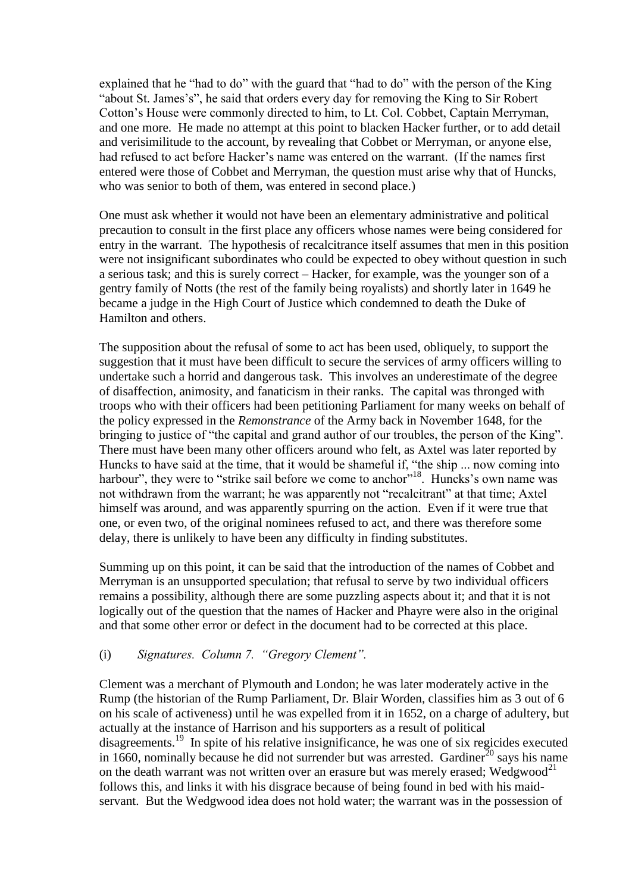explained that he "had to do" with the guard that "had to do" with the person of the King "about St. James's", he said that orders every day for removing the King to Sir Robert Cotton's House were commonly directed to him, to Lt. Col. Cobbet, Captain Merryman, and one more. He made no attempt at this point to blacken Hacker further, or to add detail and verisimilitude to the account, by revealing that Cobbet or Merryman, or anyone else, had refused to act before Hacker's name was entered on the warrant. (If the names first entered were those of Cobbet and Merryman, the question must arise why that of Huncks, who was senior to both of them, was entered in second place.)

One must ask whether it would not have been an elementary administrative and political precaution to consult in the first place any officers whose names were being considered for entry in the warrant. The hypothesis of recalcitrance itself assumes that men in this position were not insignificant subordinates who could be expected to obey without question in such a serious task; and this is surely correct – Hacker, for example, was the younger son of a gentry family of Notts (the rest of the family being royalists) and shortly later in 1649 he became a judge in the High Court of Justice which condemned to death the Duke of Hamilton and others.

The supposition about the refusal of some to act has been used, obliquely, to support the suggestion that it must have been difficult to secure the services of army officers willing to undertake such a horrid and dangerous task. This involves an underestimate of the degree of disaffection, animosity, and fanaticism in their ranks. The capital was thronged with troops who with their officers had been petitioning Parliament for many weeks on behalf of the policy expressed in the *Remonstrance* of the Army back in November 1648, for the bringing to justice of "the capital and grand author of our troubles, the person of the King". There must have been many other officers around who felt, as Axtel was later reported by Huncks to have said at the time, that it would be shameful if, "the ship ... now coming into harbour", they were to "strike sail before we come to anchor"<sup>18</sup>. Huncks's own name was not withdrawn from the warrant; he was apparently not "recalcitrant" at that time; Axtel himself was around, and was apparently spurring on the action. Even if it were true that one, or even two, of the original nominees refused to act, and there was therefore some delay, there is unlikely to have been any difficulty in finding substitutes.

Summing up on this point, it can be said that the introduction of the names of Cobbet and Merryman is an unsupported speculation; that refusal to serve by two individual officers remains a possibility, although there are some puzzling aspects about it; and that it is not logically out of the question that the names of Hacker and Phayre were also in the original and that some other error or defect in the document had to be corrected at this place.

## (i) *Signatures. Column 7. "Gregory Clement".*

Clement was a merchant of Plymouth and London; he was later moderately active in the Rump (the historian of the Rump Parliament, Dr. Blair Worden, classifies him as 3 out of 6 on his scale of activeness) until he was expelled from it in 1652, on a charge of adultery, but actually at the instance of Harrison and his supporters as a result of political disagreements.<sup>19</sup> In spite of his relative insignificance, he was one of six regicides executed in 1660, nominally because he did not surrender but was arrested. Gardiner<sup>20</sup> says his name on the death warrant was not written over an erasure but was merely erased; Wedgwood<sup>21</sup> follows this, and links it with his disgrace because of being found in bed with his maidservant. But the Wedgwood idea does not hold water; the warrant was in the possession of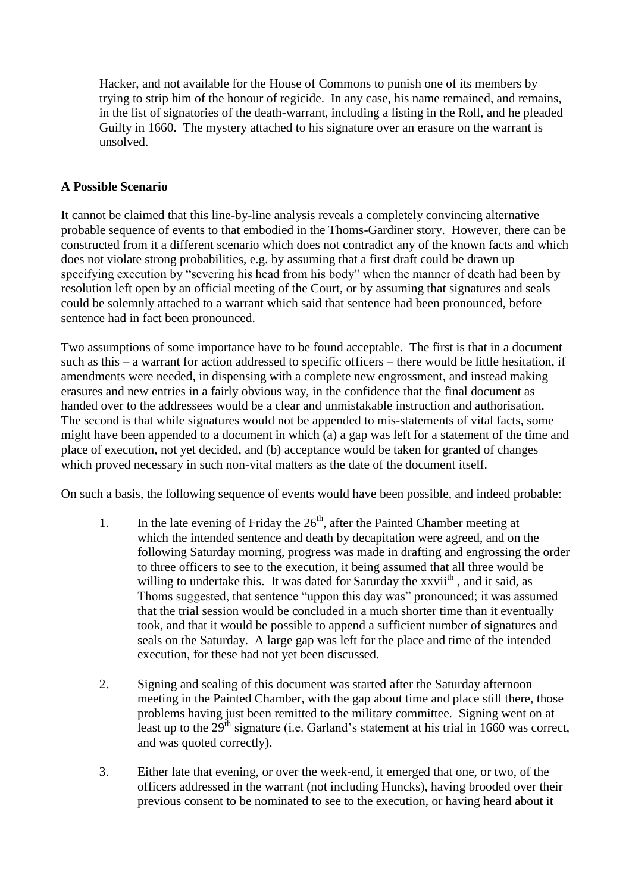Hacker, and not available for the House of Commons to punish one of its members by trying to strip him of the honour of regicide. In any case, his name remained, and remains, in the list of signatories of the death-warrant, including a listing in the Roll, and he pleaded Guilty in 1660. The mystery attached to his signature over an erasure on the warrant is unsolved.

## **A Possible Scenario**

It cannot be claimed that this line-by-line analysis reveals a completely convincing alternative probable sequence of events to that embodied in the Thoms-Gardiner story. However, there can be constructed from it a different scenario which does not contradict any of the known facts and which does not violate strong probabilities, e.g. by assuming that a first draft could be drawn up specifying execution by "severing his head from his body" when the manner of death had been by resolution left open by an official meeting of the Court, or by assuming that signatures and seals could be solemnly attached to a warrant which said that sentence had been pronounced, before sentence had in fact been pronounced.

Two assumptions of some importance have to be found acceptable. The first is that in a document such as this – a warrant for action addressed to specific officers – there would be little hesitation, if amendments were needed, in dispensing with a complete new engrossment, and instead making erasures and new entries in a fairly obvious way, in the confidence that the final document as handed over to the addressees would be a clear and unmistakable instruction and authorisation. The second is that while signatures would not be appended to mis-statements of vital facts, some might have been appended to a document in which (a) a gap was left for a statement of the time and place of execution, not yet decided, and (b) acceptance would be taken for granted of changes which proved necessary in such non-vital matters as the date of the document itself.

On such a basis, the following sequence of events would have been possible, and indeed probable:

- 1. In the late evening of Friday the  $26<sup>th</sup>$ , after the Painted Chamber meeting at which the intended sentence and death by decapitation were agreed, and on the following Saturday morning, progress was made in drafting and engrossing the order to three officers to see to the execution, it being assumed that all three would be willing to undertake this. It was dated for Saturday the xxvii<sup>th</sup>, and it said, as Thoms suggested, that sentence "uppon this day was" pronounced; it was assumed that the trial session would be concluded in a much shorter time than it eventually took, and that it would be possible to append a sufficient number of signatures and seals on the Saturday. A large gap was left for the place and time of the intended execution, for these had not yet been discussed.
- 2. Signing and sealing of this document was started after the Saturday afternoon meeting in the Painted Chamber, with the gap about time and place still there, those problems having just been remitted to the military committee. Signing went on at least up to the  $29<sup>th</sup>$  signature (i.e. Garland's statement at his trial in 1660 was correct, and was quoted correctly).
- 3. Either late that evening, or over the week-end, it emerged that one, or two, of the officers addressed in the warrant (not including Huncks), having brooded over their previous consent to be nominated to see to the execution, or having heard about it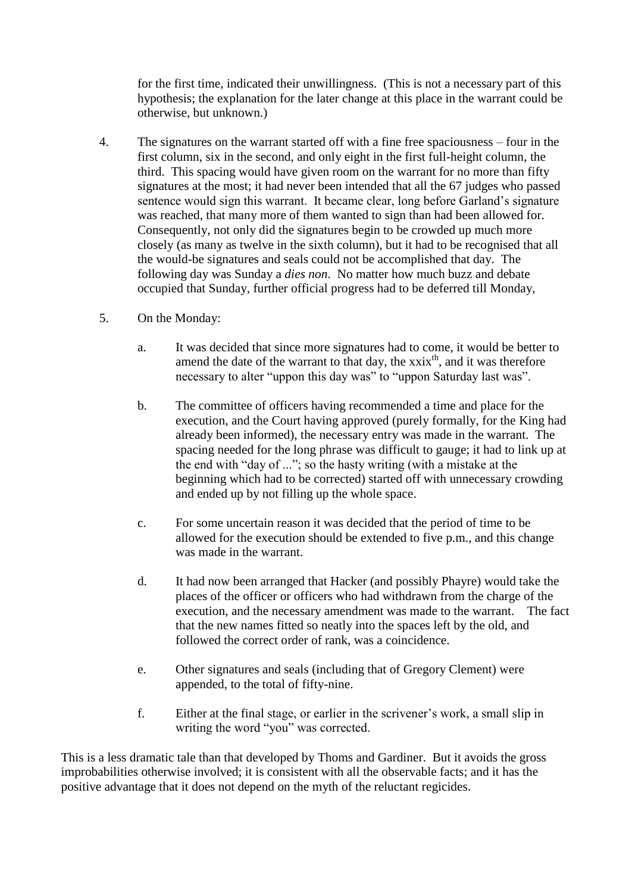for the first time, indicated their unwillingness. (This is not a necessary part of this hypothesis; the explanation for the later change at this place in the warrant could be otherwise, but unknown.)

- 4. The signatures on the warrant started off with a fine free spaciousness four in the first column, six in the second, and only eight in the first full-height column, the third. This spacing would have given room on the warrant for no more than fifty signatures at the most; it had never been intended that all the 67 judges who passed sentence would sign this warrant. It became clear, long before Garland's signature was reached, that many more of them wanted to sign than had been allowed for. Consequently, not only did the signatures begin to be crowded up much more closely (as many as twelve in the sixth column), but it had to be recognised that all the would-be signatures and seals could not be accomplished that day. The following day was Sunday a *dies non*. No matter how much buzz and debate occupied that Sunday, further official progress had to be deferred till Monday,
- 5. On the Monday:
	- a. It was decided that since more signatures had to come, it would be better to amend the date of the warrant to that day, the  $xxix<sup>th</sup>$ , and it was therefore necessary to alter "uppon this day was" to "uppon Saturday last was".
	- b. The committee of officers having recommended a time and place for the execution, and the Court having approved (purely formally, for the King had already been informed), the necessary entry was made in the warrant. The spacing needed for the long phrase was difficult to gauge; it had to link up at the end with "day of ..."; so the hasty writing (with a mistake at the beginning which had to be corrected) started off with unnecessary crowding and ended up by not filling up the whole space.
	- c. For some uncertain reason it was decided that the period of time to be allowed for the execution should be extended to five p.m., and this change was made in the warrant.
	- d. It had now been arranged that Hacker (and possibly Phayre) would take the places of the officer or officers who had withdrawn from the charge of the execution, and the necessary amendment was made to the warrant. The fact that the new names fitted so neatly into the spaces left by the old, and followed the correct order of rank, was a coincidence.
	- e. Other signatures and seals (including that of Gregory Clement) were appended, to the total of fifty-nine.
	- f. Either at the final stage, or earlier in the scrivener's work, a small slip in writing the word "you" was corrected.

This is a less dramatic tale than that developed by Thoms and Gardiner. But it avoids the gross improbabilities otherwise involved; it is consistent with all the observable facts; and it has the positive advantage that it does not depend on the myth of the reluctant regicides.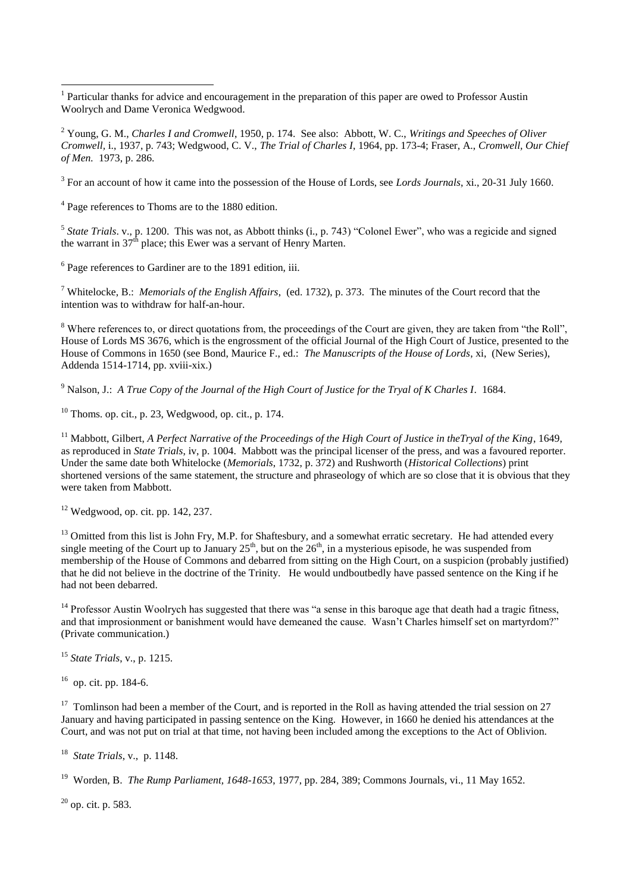3 For an account of how it came into the possession of the House of Lords, see *Lords Journals*, xi., 20-31 July 1660.

<sup>4</sup> Page references to Thoms are to the 1880 edition.

 $\overline{a}$ 

<sup>5</sup> State Trials. v., p. 1200. This was not, as Abbott thinks (i., p. 743) "Colonel Ewer", who was a regicide and signed the warrant in  $37<sup>th</sup>$  place; this Ewer was a servant of Henry Marten.

<sup>6</sup> Page references to Gardiner are to the 1891 edition, iii.

<sup>7</sup> Whitelocke, B.: *Memorials of the English Affairs*, (ed. 1732), p. 373. The minutes of the Court record that the intention was to withdraw for half-an-hour.

<sup>8</sup> Where references to, or direct quotations from, the proceedings of the Court are given, they are taken from "the Roll", House of Lords MS 3676, which is the engrossment of the official Journal of the High Court of Justice, presented to the House of Commons in 1650 (see Bond, Maurice F., ed.: *The Manuscripts of the House of Lords*, xi, (New Series), Addenda 1514-1714, pp. xviii-xix.)

<sup>9</sup> Nalson, J.: *A True Copy of the Journal of the High Court of Justice for the Tryal of K Charles I*. 1684.

 $10$  Thoms. op. cit., p. 23, Wedgwood, op. cit., p. 174.

<sup>11</sup> Mabbott, Gilbert, *A Perfect Narrative of the Proceedings of the High Court of Justice in theTryal of the King*, 1649, as reproduced in *State Trials*, iv, p. 1004. Mabbott was the principal licenser of the press, and was a favoured reporter. Under the same date both Whitelocke (*Memorials*, 1732, p. 372) and Rushworth (*Historical Collections*) print shortened versions of the same statement, the structure and phraseology of which are so close that it is obvious that they were taken from Mabbott.

 $12$  Wedgwood, op. cit. pp. 142, 237.

 $13$  Omitted from this list is John Fry, M.P. for Shaftesbury, and a somewhat erratic secretary. He had attended every single meeting of the Court up to January  $25<sup>th</sup>$ , but on the  $26<sup>th</sup>$ , in a mysterious episode, he was suspended from membership of the House of Commons and debarred from sitting on the High Court, on a suspicion (probably justified) that he did not believe in the doctrine of the Trinity. He would undboutbedly have passed sentence on the King if he had not been debarred.

 $14$  Professor Austin Woolrych has suggested that there was "a sense in this baroque age that death had a tragic fitness, and that improsionment or banishment would have demeaned the cause. Wasn't Charles himself set on martyrdom?" (Private communication.)

<sup>15</sup> *State Trials*, v., p. 1215.

16 op. cit. pp. 184-6.

<sup>17</sup> Tomlinson had been a member of the Court, and is reported in the Roll as having attended the trial session on 27 January and having participated in passing sentence on the King. However, in 1660 he denied his attendances at the Court, and was not put on trial at that time, not having been included among the exceptions to the Act of Oblivion.

18 *State Trials*, v., p. 1148.

<sup>19</sup> Worden, B. *The Rump Parliament, 1648-1653*, 1977, pp. 284, 389; Commons Journals, vi., 11 May 1652.

 $^{20}$  op. cit. p. 583.

<sup>&</sup>lt;sup>1</sup> Particular thanks for advice and encouragement in the preparation of this paper are owed to Professor Austin Woolrych and Dame Veronica Wedgwood.

<sup>2</sup> Young, G. M., *Charles I and Cromwell*, 1950, p. 174. See also: Abbott, W. C., *Writings and Speeches of Oliver Cromwell,* i., 1937, p. 743; Wedgwood, C. V., *The Trial of Charles I*, 1964, pp. 173-4; Fraser, A., *Cromwell, Our Chief of Men.* 1973, p. 286.